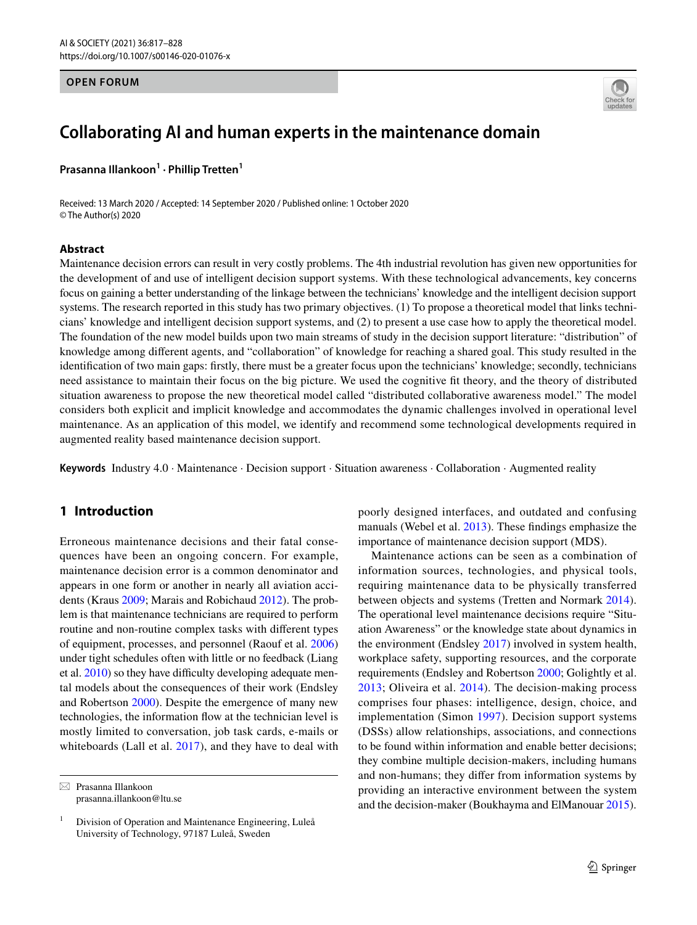#### **OPEN FORUM**



# **Collaborating AI and human experts in the maintenance domain**

**Prasanna Illankoon1 · Phillip Tretten1**

Received: 13 March 2020 / Accepted: 14 September 2020 / Published online: 1 October 2020 © The Author(s) 2020

#### **Abstract**

Maintenance decision errors can result in very costly problems. The 4th industrial revolution has given new opportunities for the development of and use of intelligent decision support systems. With these technological advancements, key concerns focus on gaining a better understanding of the linkage between the technicians' knowledge and the intelligent decision support systems. The research reported in this study has two primary objectives. (1) To propose a theoretical model that links technicians' knowledge and intelligent decision support systems, and (2) to present a use case how to apply the theoretical model. The foundation of the new model builds upon two main streams of study in the decision support literature: "distribution" of knowledge among diferent agents, and "collaboration" of knowledge for reaching a shared goal. This study resulted in the identifcation of two main gaps: frstly, there must be a greater focus upon the technicians' knowledge; secondly, technicians need assistance to maintain their focus on the big picture. We used the cognitive ft theory, and the theory of distributed situation awareness to propose the new theoretical model called "distributed collaborative awareness model." The model considers both explicit and implicit knowledge and accommodates the dynamic challenges involved in operational level maintenance. As an application of this model, we identify and recommend some technological developments required in augmented reality based maintenance decision support.

**Keywords** Industry 4.0 · Maintenance · Decision support · Situation awareness · Collaboration · Augmented reality

# **1 Introduction**

Erroneous maintenance decisions and their fatal consequences have been an ongoing concern. For example, maintenance decision error is a common denominator and appears in one form or another in nearly all aviation accidents (Kraus [2009](#page-10-0); Marais and Robichaud [2012](#page-10-1)). The problem is that maintenance technicians are required to perform routine and non-routine complex tasks with diferent types of equipment, processes, and personnel (Raouf et al. [2006\)](#page-10-2) under tight schedules often with little or no feedback (Liang et al.  $2010$ ) so they have difficulty developing adequate mental models about the consequences of their work (Endsley and Robertson [2000\)](#page-9-0). Despite the emergence of many new technologies, the information fow at the technician level is mostly limited to conversation, job task cards, e-mails or whiteboards (Lall et al. [2017](#page-10-4)), and they have to deal with

 $\boxtimes$  Prasanna Illankoon prasanna.illankoon@ltu.se poorly designed interfaces, and outdated and confusing manuals (Webel et al. [2013](#page-11-0)). These fndings emphasize the importance of maintenance decision support (MDS).

Maintenance actions can be seen as a combination of information sources, technologies, and physical tools, requiring maintenance data to be physically transferred between objects and systems (Tretten and Normark [2014](#page-10-5)). The operational level maintenance decisions require "Situation Awareness" or the knowledge state about dynamics in the environment (Endsley [2017](#page-9-1)) involved in system health, workplace safety, supporting resources, and the corporate requirements (Endsley and Robertson [2000](#page-9-2); Golightly et al. [2013;](#page-9-3) Oliveira et al. [2014](#page-10-6)). The decision-making process comprises four phases: intelligence, design, choice, and implementation (Simon [1997](#page-10-7)). Decision support systems (DSSs) allow relationships, associations, and connections to be found within information and enable better decisions; they combine multiple decision-makers, including humans and non-humans; they difer from information systems by providing an interactive environment between the system and the decision-maker (Boukhayma and ElManouar [2015](#page-8-0)).

 $1$  Division of Operation and Maintenance Engineering, Luleå University of Technology, 97187 Luleå, Sweden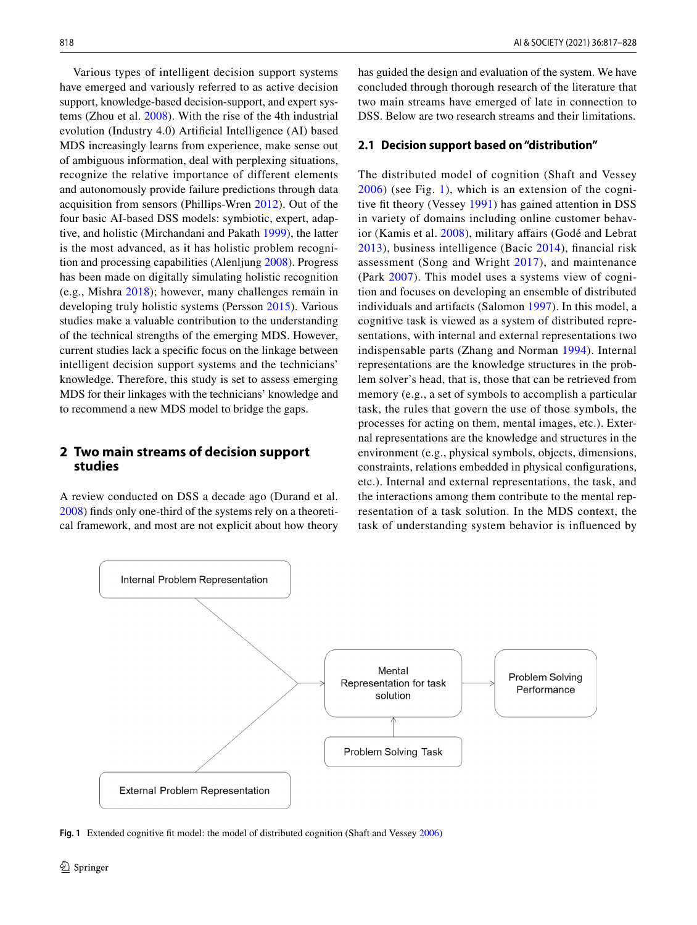Various types of intelligent decision support systems have emerged and variously referred to as active decision support, knowledge-based decision-support, and expert systems (Zhou et al. [2008\)](#page-11-1). With the rise of the 4th industrial evolution (Industry 4.0) Artifcial Intelligence (AI) based MDS increasingly learns from experience, make sense out of ambiguous information, deal with perplexing situations, recognize the relative importance of different elements and autonomously provide failure predictions through data acquisition from sensors (Phillips-Wren [2012](#page-10-8)). Out of the four basic AI-based DSS models: symbiotic, expert, adaptive, and holistic (Mirchandani and Pakath [1999\)](#page-10-9), the latter is the most advanced, as it has holistic problem recognition and processing capabilities (Alenljung [2008](#page-8-1)). Progress has been made on digitally simulating holistic recognition (e.g., Mishra [2018](#page-10-10)); however, many challenges remain in developing truly holistic systems (Persson [2015](#page-10-11)). Various studies make a valuable contribution to the understanding of the technical strengths of the emerging MDS. However, current studies lack a specifc focus on the linkage between intelligent decision support systems and the technicians' knowledge. Therefore, this study is set to assess emerging MDS for their linkages with the technicians' knowledge and to recommend a new MDS model to bridge the gaps.

# **2 Two main streams of decision support studies**

A review conducted on DSS a decade ago (Durand et al. [2008](#page-9-4)) fnds only one-third of the systems rely on a theoretical framework, and most are not explicit about how theory

has guided the design and evaluation of the system. We have concluded through thorough research of the literature that two main streams have emerged of late in connection to DSS. Below are two research streams and their limitations.

#### **2.1 Decision support based on "distribution"**

The distributed model of cognition (Shaft and Vessey [2006](#page-10-12)) (see Fig. [1\)](#page-1-0), which is an extension of the cogni-tive fit theory (Vessey [1991\)](#page-11-2) has gained attention in DSS in variety of domains including online customer behavior (Kamis et al. [2008](#page-9-5)), military afairs (Godé and Lebrat [2013](#page-9-6)), business intelligence (Bacic [2014\)](#page-8-2), fnancial risk assessment (Song and Wright [2017](#page-10-13)), and maintenance (Park [2007\)](#page-10-14). This model uses a systems view of cognition and focuses on developing an ensemble of distributed individuals and artifacts (Salomon [1997\)](#page-10-15). In this model, a cognitive task is viewed as a system of distributed representations, with internal and external representations two indispensable parts (Zhang and Norman [1994\)](#page-11-3). Internal representations are the knowledge structures in the problem solver's head, that is, those that can be retrieved from memory (e.g., a set of symbols to accomplish a particular task, the rules that govern the use of those symbols, the processes for acting on them, mental images, etc.). External representations are the knowledge and structures in the environment (e.g., physical symbols, objects, dimensions, constraints, relations embedded in physical confgurations, etc.). Internal and external representations, the task, and the interactions among them contribute to the mental representation of a task solution. In the MDS context, the task of understanding system behavior is infuenced by



<span id="page-1-0"></span>**Fig. 1** Extended cognitive ft model: the model of distributed cognition (Shaft and Vessey [2006](#page-10-12))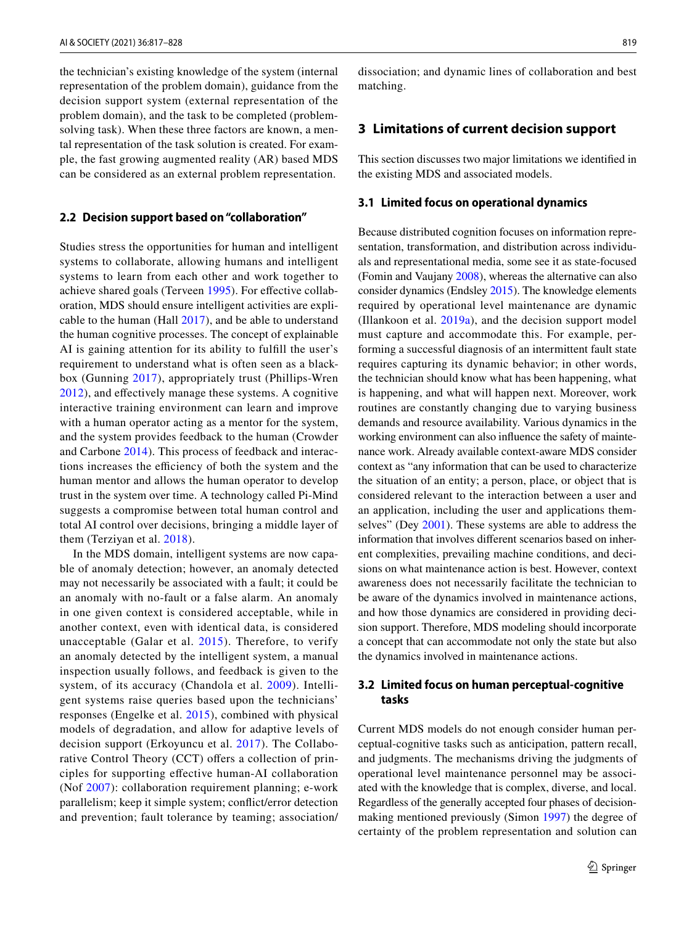the technician's existing knowledge of the system (internal representation of the problem domain), guidance from the decision support system (external representation of the problem domain), and the task to be completed (problemsolving task). When these three factors are known, a mental representation of the task solution is created. For example, the fast growing augmented reality (AR) based MDS can be considered as an external problem representation.

#### **2.2 Decision support based on "collaboration"**

Studies stress the opportunities for human and intelligent systems to collaborate, allowing humans and intelligent systems to learn from each other and work together to achieve shared goals (Terveen [1995\)](#page-10-16). For efective collaboration, MDS should ensure intelligent activities are explicable to the human (Hall [2017\)](#page-9-7), and be able to understand the human cognitive processes. The concept of explainable AI is gaining attention for its ability to fulfll the user's requirement to understand what is often seen as a blackbox (Gunning [2017\)](#page-9-8), appropriately trust (Phillips-Wren [2012\)](#page-10-8), and efectively manage these systems. A cognitive interactive training environment can learn and improve with a human operator acting as a mentor for the system, and the system provides feedback to the human (Crowder and Carbone [2014\)](#page-9-9). This process of feedback and interactions increases the efficiency of both the system and the human mentor and allows the human operator to develop trust in the system over time. A technology called Pi-Mind suggests a compromise between total human control and total AI control over decisions, bringing a middle layer of them (Terziyan et al. [2018\)](#page-10-17).

In the MDS domain, intelligent systems are now capable of anomaly detection; however, an anomaly detected may not necessarily be associated with a fault; it could be an anomaly with no-fault or a false alarm. An anomaly in one given context is considered acceptable, while in another context, even with identical data, is considered unacceptable (Galar et al. [2015](#page-9-10)). Therefore, to verify an anomaly detected by the intelligent system, a manual inspection usually follows, and feedback is given to the system, of its accuracy (Chandola et al. [2009\)](#page-9-11). Intelligent systems raise queries based upon the technicians' responses (Engelke et al. [2015\)](#page-9-12), combined with physical models of degradation, and allow for adaptive levels of decision support (Erkoyuncu et al. [2017](#page-9-13)). The Collaborative Control Theory (CCT) offers a collection of principles for supporting efective human-AI collaboration (Nof [2007\)](#page-10-18): collaboration requirement planning; e-work parallelism; keep it simple system; confict/error detection and prevention; fault tolerance by teaming; association/ dissociation; and dynamic lines of collaboration and best matching.

#### **3 Limitations of current decision support**

This section discusses two major limitations we identifed in the existing MDS and associated models.

#### **3.1 Limited focus on operational dynamics**

Because distributed cognition focuses on information representation, transformation, and distribution across individuals and representational media, some see it as state-focused (Fomin and Vaujany [2008\)](#page-9-14), whereas the alternative can also consider dynamics (Endsley [2015\)](#page-9-15). The knowledge elements required by operational level maintenance are dynamic (Illankoon et al.  $2019a$ ), and the decision support model must capture and accommodate this. For example, performing a successful diagnosis of an intermittent fault state requires capturing its dynamic behavior; in other words, the technician should know what has been happening, what is happening, and what will happen next. Moreover, work routines are constantly changing due to varying business demands and resource availability. Various dynamics in the working environment can also infuence the safety of maintenance work. Already available context-aware MDS consider context as "any information that can be used to characterize the situation of an entity; a person, place, or object that is considered relevant to the interaction between a user and an application, including the user and applications themselves" (Dey [2001](#page-9-17)). These systems are able to address the information that involves diferent scenarios based on inherent complexities, prevailing machine conditions, and decisions on what maintenance action is best. However, context awareness does not necessarily facilitate the technician to be aware of the dynamics involved in maintenance actions, and how those dynamics are considered in providing decision support. Therefore, MDS modeling should incorporate a concept that can accommodate not only the state but also the dynamics involved in maintenance actions.

### **3.2 Limited focus on human perceptual‑cognitive tasks**

Current MDS models do not enough consider human perceptual-cognitive tasks such as anticipation, pattern recall, and judgments. The mechanisms driving the judgments of operational level maintenance personnel may be associated with the knowledge that is complex, diverse, and local. Regardless of the generally accepted four phases of decisionmaking mentioned previously (Simon [1997](#page-10-7)) the degree of certainty of the problem representation and solution can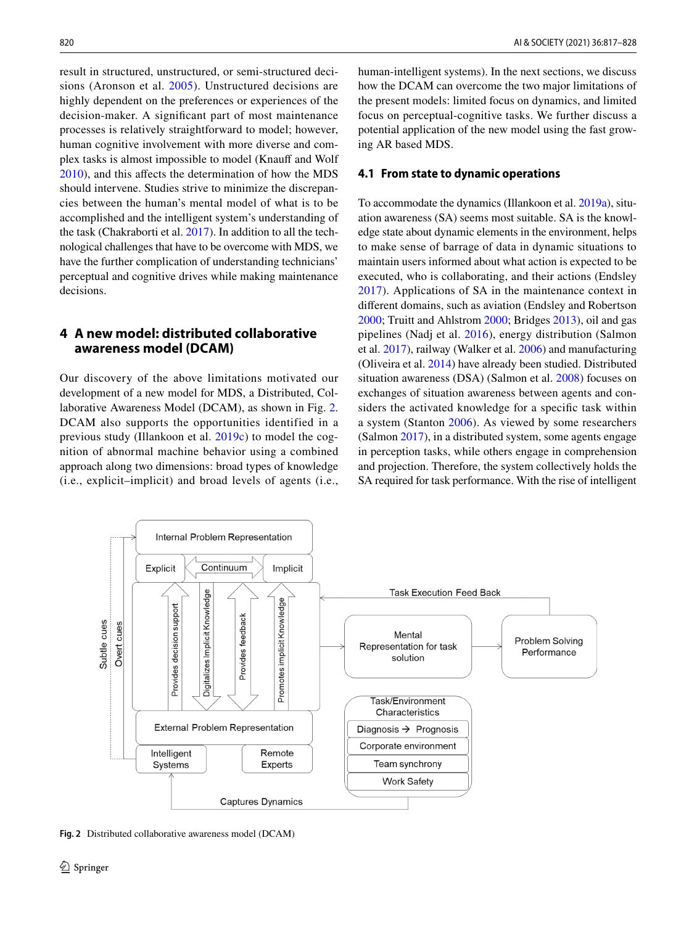result in structured, unstructured, or semi-structured decisions (Aronson et al. [2005](#page-8-3)). Unstructured decisions are highly dependent on the preferences or experiences of the decision-maker. A signifcant part of most maintenance processes is relatively straightforward to model; however, human cognitive involvement with more diverse and complex tasks is almost impossible to model (Knauff and Wolf [2010](#page-10-19)), and this afects the determination of how the MDS should intervene. Studies strive to minimize the discrepancies between the human's mental model of what is to be accomplished and the intelligent system's understanding of the task (Chakraborti et al. [2017\)](#page-8-4). In addition to all the technological challenges that have to be overcome with MDS, we have the further complication of understanding technicians' perceptual and cognitive drives while making maintenance decisions.

# **4 A new model: distributed collaborative awareness model (DCAM)**

Our discovery of the above limitations motivated our development of a new model for MDS, a Distributed, Collaborative Awareness Model (DCAM), as shown in Fig. [2.](#page-3-0) DCAM also supports the opportunities identified in a previous study (Illankoon et al. [2019c](#page-9-18)) to model the cognition of abnormal machine behavior using a combined approach along two dimensions: broad types of knowledge (i.e., explicit–implicit) and broad levels of agents (i.e.,

human-intelligent systems). In the next sections, we discuss how the DCAM can overcome the two major limitations of the present models: limited focus on dynamics, and limited focus on perceptual-cognitive tasks. We further discuss a potential application of the new model using the fast growing AR based MDS.

#### **4.1 From state to dynamic operations**

To accommodate the dynamics (Illankoon et al. [2019a\)](#page-9-16), situation awareness (SA) seems most suitable. SA is the knowledge state about dynamic elements in the environment, helps to make sense of barrage of data in dynamic situations to maintain users informed about what action is expected to be executed, who is collaborating, and their actions (Endsley [2017\)](#page-9-1). Applications of SA in the maintenance context in diferent domains, such as aviation (Endsley and Robertson [2000](#page-9-2); Truitt and Ahlstrom [2000;](#page-10-20) Bridges [2013\)](#page-8-5), oil and gas pipelines (Nadj et al. [2016\)](#page-10-21), energy distribution (Salmon et al. [2017\)](#page-10-22), railway (Walker et al. [2006](#page-11-4)) and manufacturing (Oliveira et al. [2014\)](#page-10-6) have already been studied. Distributed situation awareness (DSA) (Salmon et al. [2008\)](#page-10-23) focuses on exchanges of situation awareness between agents and considers the activated knowledge for a specifc task within a system (Stanton [2006\)](#page-10-24). As viewed by some researchers (Salmon [2017](#page-10-22)), in a distributed system, some agents engage in perception tasks, while others engage in comprehension and projection. Therefore, the system collectively holds the SA required for task performance. With the rise of intelligent



<span id="page-3-0"></span>**Fig. 2** Distributed collaborative awareness model (DCAM)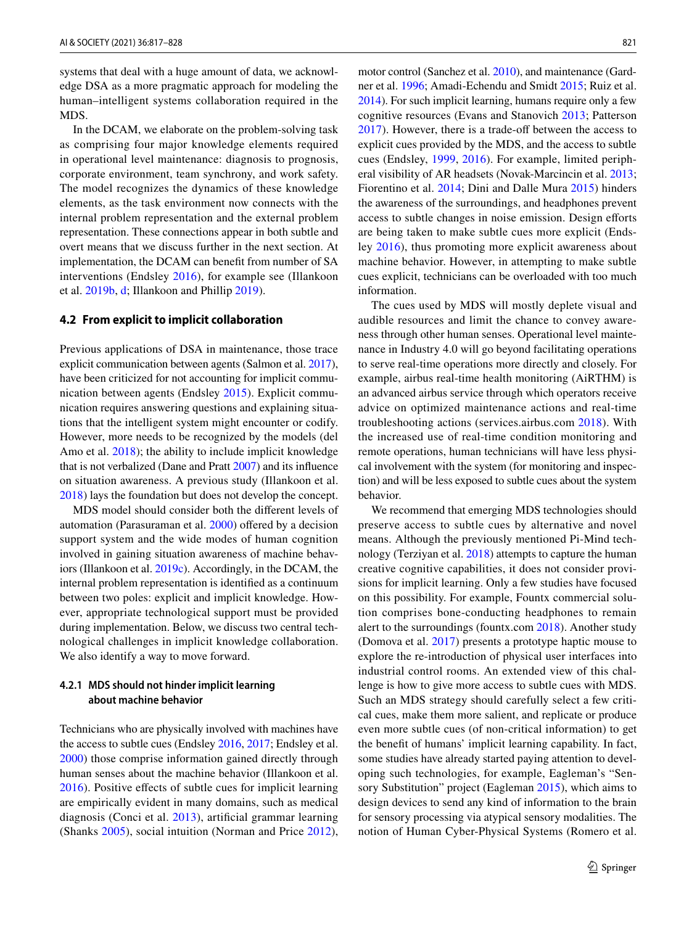systems that deal with a huge amount of data, we acknowledge DSA as a more pragmatic approach for modeling the human–intelligent systems collaboration required in the MDS.

In the DCAM, we elaborate on the problem-solving task as comprising four major knowledge elements required in operational level maintenance: diagnosis to prognosis, corporate environment, team synchrony, and work safety. The model recognizes the dynamics of these knowledge elements, as the task environment now connects with the internal problem representation and the external problem representation. These connections appear in both subtle and overt means that we discuss further in the next section. At implementation, the DCAM can beneft from number of SA interventions (Endsley [2016](#page-9-19)), for example see (Illankoon et al. [2019b](#page-9-20), [d](#page-9-21); Illankoon and Phillip [2019](#page-9-22)).

#### **4.2 From explicit to implicit collaboration**

Previous applications of DSA in maintenance, those trace explicit communication between agents (Salmon et al. [2017](#page-10-22)), have been criticized for not accounting for implicit communication between agents (Endsley [2015](#page-9-15)). Explicit communication requires answering questions and explaining situations that the intelligent system might encounter or codify. However, more needs to be recognized by the models (del Amo et al. [2018](#page-9-23)); the ability to include implicit knowledge that is not verbalized (Dane and Pratt [2007](#page-9-24)) and its infuence on situation awareness. A previous study (Illankoon et al. [2018](#page-9-25)) lays the foundation but does not develop the concept.

MDS model should consider both the diferent levels of automation (Parasuraman et al. [2000](#page-10-25)) ofered by a decision support system and the wide modes of human cognition involved in gaining situation awareness of machine behaviors (Illankoon et al. [2019c\)](#page-9-18). Accordingly, in the DCAM, the internal problem representation is identifed as a continuum between two poles: explicit and implicit knowledge. However, appropriate technological support must be provided during implementation. Below, we discuss two central technological challenges in implicit knowledge collaboration. We also identify a way to move forward.

#### **4.2.1 MDS should not hinder implicit learning about machine behavior**

Technicians who are physically involved with machines have the access to subtle cues (Endsley [2016](#page-9-19), [2017](#page-9-1); Endsley et al. [2000](#page-9-0)) those comprise information gained directly through human senses about the machine behavior (Illankoon et al. [2016\)](#page-9-26). Positive efects of subtle cues for implicit learning are empirically evident in many domains, such as medical diagnosis (Conci et al. [2013](#page-9-27)), artifcial grammar learning (Shanks [2005](#page-10-26)), social intuition (Norman and Price [2012](#page-10-27)),

motor control (Sanchez et al. [2010](#page-10-28)), and maintenance (Gardner et al. [1996;](#page-9-28) Amadi-Echendu and Smidt [2015;](#page-8-6) Ruiz et al. [2014\)](#page-10-29). For such implicit learning, humans require only a few cognitive resources (Evans and Stanovich [2013;](#page-9-29) Patterson [2017\)](#page-10-30). However, there is a trade-off between the access to explicit cues provided by the MDS, and the access to subtle cues (Endsley, [1999,](#page-9-30) [2016\)](#page-9-19). For example, limited peripheral visibility of AR headsets (Novak-Marcincin et al. [2013](#page-10-31); Fiorentino et al. [2014](#page-9-31); Dini and Dalle Mura [2015](#page-9-32)) hinders the awareness of the surroundings, and headphones prevent access to subtle changes in noise emission. Design efforts are being taken to make subtle cues more explicit (Endsley [2016](#page-9-19)), thus promoting more explicit awareness about machine behavior. However, in attempting to make subtle cues explicit, technicians can be overloaded with too much information.

The cues used by MDS will mostly deplete visual and audible resources and limit the chance to convey awareness through other human senses. Operational level maintenance in Industry 4.0 will go beyond facilitating operations to serve real-time operations more directly and closely. For example, airbus real-time health monitoring (AiRTHM) is an advanced airbus service through which operators receive advice on optimized maintenance actions and real-time troubleshooting actions (services.airbus.com [2018\)](#page-10-32). With the increased use of real-time condition monitoring and remote operations, human technicians will have less physical involvement with the system (for monitoring and inspection) and will be less exposed to subtle cues about the system behavior.

We recommend that emerging MDS technologies should preserve access to subtle cues by alternative and novel means. Although the previously mentioned Pi-Mind technology (Terziyan et al. [2018\)](#page-10-17) attempts to capture the human creative cognitive capabilities, it does not consider provisions for implicit learning. Only a few studies have focused on this possibility. For example, Fountx commercial solution comprises bone-conducting headphones to remain alert to the surroundings (fountx.com [2018\)](#page-9-33). Another study (Domova et al. [2017](#page-9-34)) presents a prototype haptic mouse to explore the re-introduction of physical user interfaces into industrial control rooms. An extended view of this challenge is how to give more access to subtle cues with MDS. Such an MDS strategy should carefully select a few critical cues, make them more salient, and replicate or produce even more subtle cues (of non-critical information) to get the beneft of humans' implicit learning capability. In fact, some studies have already started paying attention to developing such technologies, for example, Eagleman's "Sensory Substitution" project (Eagleman [2015](#page-9-35)), which aims to design devices to send any kind of information to the brain for sensory processing via atypical sensory modalities. The notion of Human Cyber-Physical Systems (Romero et al.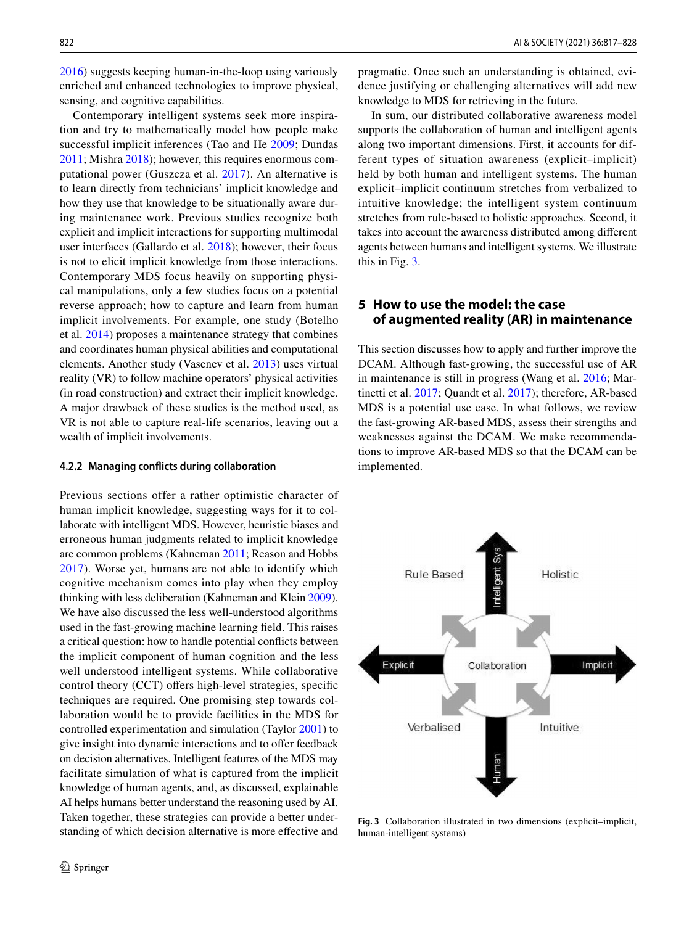[2016](#page-10-33)) suggests keeping human-in-the-loop using variously enriched and enhanced technologies to improve physical, sensing, and cognitive capabilities.

Contemporary intelligent systems seek more inspiration and try to mathematically model how people make successful implicit inferences (Tao and He [2009](#page-10-34); Dundas [2011](#page-9-36); Mishra [2018](#page-10-10)); however, this requires enormous computational power (Guszcza et al. [2017](#page-9-37)). An alternative is to learn directly from technicians' implicit knowledge and how they use that knowledge to be situationally aware during maintenance work. Previous studies recognize both explicit and implicit interactions for supporting multimodal user interfaces (Gallardo et al. [2018\)](#page-9-38); however, their focus is not to elicit implicit knowledge from those interactions. Contemporary MDS focus heavily on supporting physical manipulations, only a few studies focus on a potential reverse approach; how to capture and learn from human implicit involvements. For example, one study (Botelho et al. [2014](#page-8-7)) proposes a maintenance strategy that combines and coordinates human physical abilities and computational elements. Another study (Vasenev et al. [2013](#page-11-5)) uses virtual reality (VR) to follow machine operators' physical activities (in road construction) and extract their implicit knowledge. A major drawback of these studies is the method used, as VR is not able to capture real-life scenarios, leaving out a wealth of implicit involvements.

#### **4.2.2 Managing conficts during collaboration**

Previous sections offer a rather optimistic character of human implicit knowledge, suggesting ways for it to collaborate with intelligent MDS. However, heuristic biases and erroneous human judgments related to implicit knowledge are common problems (Kahneman [2011](#page-9-39); Reason and Hobbs [2017\)](#page-10-35). Worse yet, humans are not able to identify which cognitive mechanism comes into play when they employ thinking with less deliberation (Kahneman and Klein [2009](#page-9-40)). We have also discussed the less well-understood algorithms used in the fast-growing machine learning feld. This raises a critical question: how to handle potential conficts between the implicit component of human cognition and the less well understood intelligent systems. While collaborative control theory (CCT) offers high-level strategies, specific techniques are required. One promising step towards collaboration would be to provide facilities in the MDS for controlled experimentation and simulation (Taylor [2001\)](#page-10-36) to give insight into dynamic interactions and to offer feedback on decision alternatives. Intelligent features of the MDS may facilitate simulation of what is captured from the implicit knowledge of human agents, and, as discussed, explainable AI helps humans better understand the reasoning used by AI. Taken together, these strategies can provide a better understanding of which decision alternative is more efective and pragmatic. Once such an understanding is obtained, evidence justifying or challenging alternatives will add new knowledge to MDS for retrieving in the future.

In sum, our distributed collaborative awareness model supports the collaboration of human and intelligent agents along two important dimensions. First, it accounts for different types of situation awareness (explicit–implicit) held by both human and intelligent systems. The human explicit–implicit continuum stretches from verbalized to intuitive knowledge; the intelligent system continuum stretches from rule-based to holistic approaches. Second, it takes into account the awareness distributed among diferent agents between humans and intelligent systems. We illustrate this in Fig. [3](#page-5-0).

# **5 How to use the model: the case of augmented reality (AR) in maintenance**

This section discusses how to apply and further improve the DCAM. Although fast-growing, the successful use of AR in maintenance is still in progress (Wang et al. [2016;](#page-11-6) Martinetti et al. [2017;](#page-10-37) Quandt et al. [2017](#page-10-38)); therefore, AR-based MDS is a potential use case. In what follows, we review the fast-growing AR-based MDS, assess their strengths and weaknesses against the DCAM. We make recommendations to improve AR-based MDS so that the DCAM can be implemented.



<span id="page-5-0"></span>**Fig. 3** Collaboration illustrated in two dimensions (explicit–implicit, human-intelligent systems)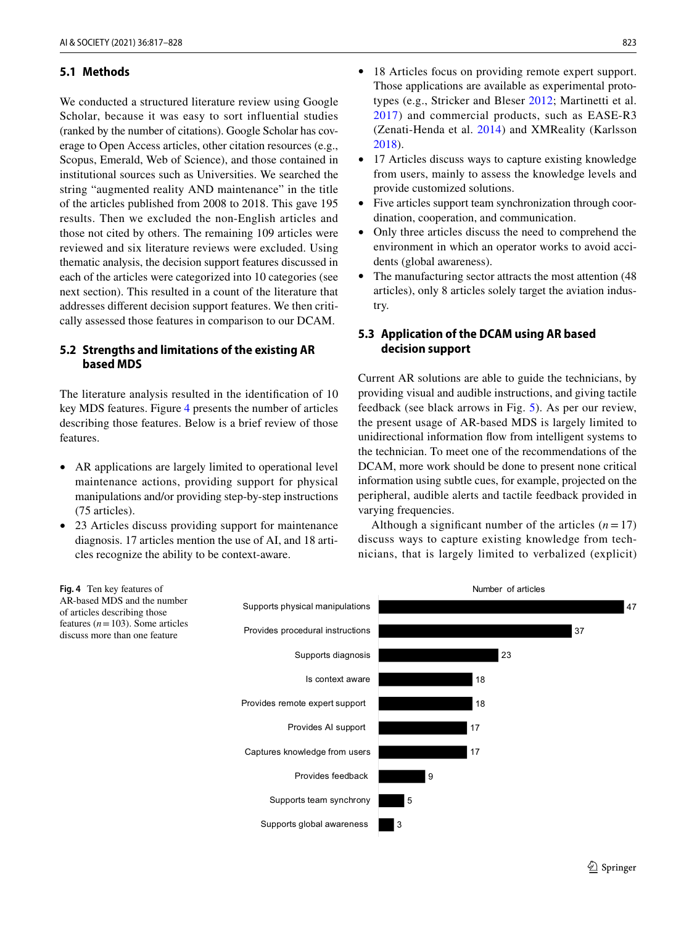### **5.1 Methods**

We conducted a structured literature review using Google Scholar, because it was easy to sort influential studies (ranked by the number of citations). Google Scholar has coverage to Open Access articles, other citation resources (e.g., Scopus, Emerald, Web of Science), and those contained in institutional sources such as Universities. We searched the string "augmented reality AND maintenance" in the title of the articles published from 2008 to 2018. This gave 195 results. Then we excluded the non-English articles and those not cited by others. The remaining 109 articles were reviewed and six literature reviews were excluded. Using thematic analysis, the decision support features discussed in each of the articles were categorized into 10 categories (see next section). This resulted in a count of the literature that addresses diferent decision support features. We then critically assessed those features in comparison to our DCAM.

### **5.2 Strengths and limitations of the existing AR based MDS**

The literature analysis resulted in the identifcation of 10 key MDS features. Figure [4](#page-6-0) presents the number of articles describing those features. Below is a brief review of those features.

- AR applications are largely limited to operational level maintenance actions, providing support for physical manipulations and/or providing step-by-step instructions (75 articles).
- 23 Articles discuss providing support for maintenance diagnosis. 17 articles mention the use of AI, and 18 articles recognize the ability to be context-aware.
- 18 Articles focus on providing remote expert support. Those applications are available as experimental prototypes (e.g., Stricker and Bleser [2012;](#page-10-39) Martinetti et al. [2017\)](#page-10-37) and commercial products, such as EASE-R3 (Zenati-Henda et al. [2014\)](#page-11-7) and XMReality (Karlsson [2018\)](#page-9-41).
- 17 Articles discuss ways to capture existing knowledge from users, mainly to assess the knowledge levels and provide customized solutions.
- Five articles support team synchronization through coordination, cooperation, and communication.
- Only three articles discuss the need to comprehend the environment in which an operator works to avoid accidents (global awareness).
- The manufacturing sector attracts the most attention (48) articles), only 8 articles solely target the aviation industry.

# **5.3 Application of the DCAM using AR based decision support**

Current AR solutions are able to guide the technicians, by providing visual and audible instructions, and giving tactile feedback (see black arrows in Fig. [5\)](#page-7-0). As per our review, the present usage of AR-based MDS is largely limited to unidirectional information fow from intelligent systems to the technician. To meet one of the recommendations of the DCAM, more work should be done to present none critical information using subtle cues, for example, projected on the peripheral, audible alerts and tactile feedback provided in varying frequencies.

Although a significant number of the articles  $(n = 17)$ discuss ways to capture existing knowledge from technicians, that is largely limited to verbalized (explicit)

<span id="page-6-0"></span>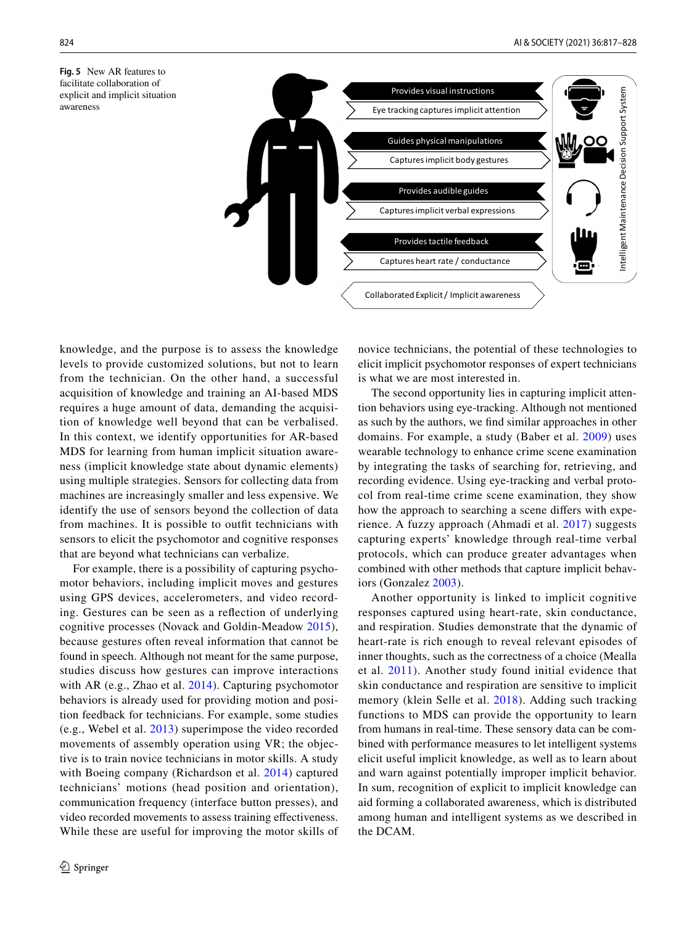<span id="page-7-0"></span>**Fig. 5** New AR features to facilitate collaboration of explicit and implicit situation awareness



knowledge, and the purpose is to assess the knowledge levels to provide customized solutions, but not to learn from the technician. On the other hand, a successful acquisition of knowledge and training an AI-based MDS requires a huge amount of data, demanding the acquisition of knowledge well beyond that can be verbalised. In this context, we identify opportunities for AR-based MDS for learning from human implicit situation awareness (implicit knowledge state about dynamic elements) using multiple strategies. Sensors for collecting data from machines are increasingly smaller and less expensive. We identify the use of sensors beyond the collection of data from machines. It is possible to outft technicians with sensors to elicit the psychomotor and cognitive responses that are beyond what technicians can verbalize.

For example, there is a possibility of capturing psychomotor behaviors, including implicit moves and gestures using GPS devices, accelerometers, and video recording. Gestures can be seen as a refection of underlying cognitive processes (Novack and Goldin-Meadow [2015](#page-10-40)), because gestures often reveal information that cannot be found in speech. Although not meant for the same purpose, studies discuss how gestures can improve interactions with AR (e.g., Zhao et al. [2014\)](#page-11-8). Capturing psychomotor behaviors is already used for providing motion and position feedback for technicians. For example, some studies (e.g., Webel et al. [2013\)](#page-11-0) superimpose the video recorded movements of assembly operation using VR; the objective is to train novice technicians in motor skills. A study with Boeing company (Richardson et al. [2014\)](#page-10-41) captured technicians' motions (head position and orientation), communication frequency (interface button presses), and video recorded movements to assess training efectiveness. While these are useful for improving the motor skills of novice technicians, the potential of these technologies to elicit implicit psychomotor responses of expert technicians is what we are most interested in.

The second opportunity lies in capturing implicit attention behaviors using eye-tracking. Although not mentioned as such by the authors, we fnd similar approaches in other domains. For example, a study (Baber et al. [2009](#page-8-8)) uses wearable technology to enhance crime scene examination by integrating the tasks of searching for, retrieving, and recording evidence. Using eye-tracking and verbal protocol from real-time crime scene examination, they show how the approach to searching a scene difers with experience. A fuzzy approach (Ahmadi et al. [2017](#page-8-9)) suggests capturing experts' knowledge through real-time verbal protocols, which can produce greater advantages when combined with other methods that capture implicit behaviors (Gonzalez [2003\)](#page-9-42).

Another opportunity is linked to implicit cognitive responses captured using heart-rate, skin conductance, and respiration. Studies demonstrate that the dynamic of heart-rate is rich enough to reveal relevant episodes of inner thoughts, such as the correctness of a choice (Mealla et al. [2011](#page-10-42)). Another study found initial evidence that skin conductance and respiration are sensitive to implicit memory (klein Selle et al. [2018](#page-9-43)). Adding such tracking functions to MDS can provide the opportunity to learn from humans in real-time. These sensory data can be combined with performance measures to let intelligent systems elicit useful implicit knowledge, as well as to learn about and warn against potentially improper implicit behavior. In sum, recognition of explicit to implicit knowledge can aid forming a collaborated awareness, which is distributed among human and intelligent systems as we described in the DCAM.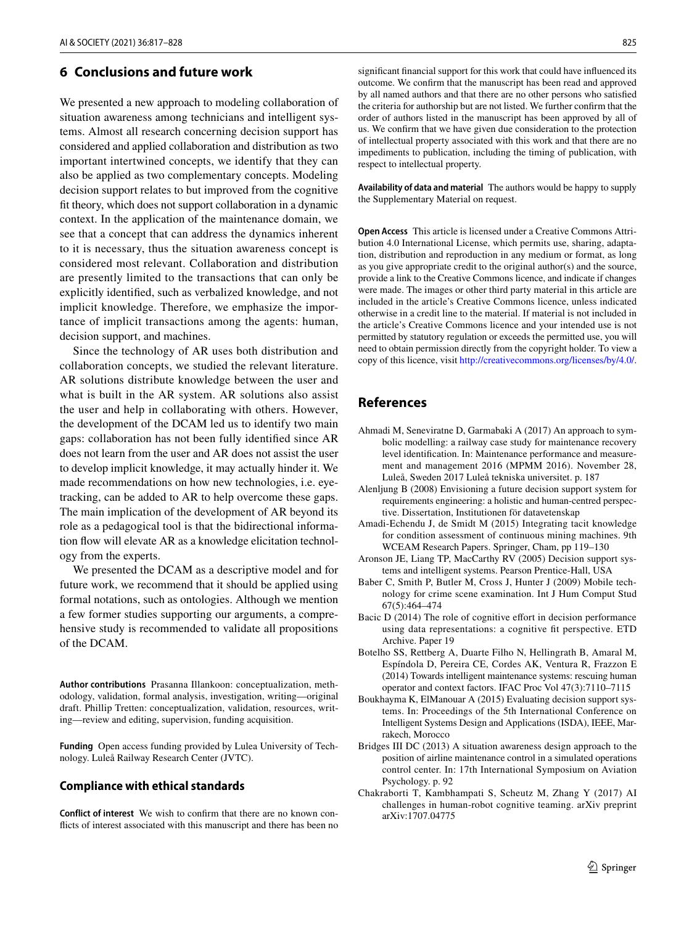# **6 Conclusions and future work**

We presented a new approach to modeling collaboration of situation awareness among technicians and intelligent systems. Almost all research concerning decision support has considered and applied collaboration and distribution as two important intertwined concepts, we identify that they can also be applied as two complementary concepts. Modeling decision support relates to but improved from the cognitive ft theory, which does not support collaboration in a dynamic context. In the application of the maintenance domain, we see that a concept that can address the dynamics inherent to it is necessary, thus the situation awareness concept is considered most relevant. Collaboration and distribution are presently limited to the transactions that can only be explicitly identifed, such as verbalized knowledge, and not implicit knowledge. Therefore, we emphasize the importance of implicit transactions among the agents: human, decision support, and machines.

Since the technology of AR uses both distribution and collaboration concepts, we studied the relevant literature. AR solutions distribute knowledge between the user and what is built in the AR system. AR solutions also assist the user and help in collaborating with others. However, the development of the DCAM led us to identify two main gaps: collaboration has not been fully identifed since AR does not learn from the user and AR does not assist the user to develop implicit knowledge, it may actually hinder it. We made recommendations on how new technologies, i.e. eyetracking, can be added to AR to help overcome these gaps. The main implication of the development of AR beyond its role as a pedagogical tool is that the bidirectional information flow will elevate AR as a knowledge elicitation technology from the experts.

We presented the DCAM as a descriptive model and for future work, we recommend that it should be applied using formal notations, such as ontologies. Although we mention a few former studies supporting our arguments, a comprehensive study is recommended to validate all propositions of the DCAM.

**Author contributions** Prasanna Illankoon: conceptualization, methodology, validation, formal analysis, investigation, writing—original draft. Phillip Tretten: conceptualization, validation, resources, writing—review and editing, supervision, funding acquisition.

**Funding** Open access funding provided by Lulea University of Technology. Luleå Railway Research Center (JVTC).

#### **Compliance with ethical standards**

**Conflict of interest** We wish to confrm that there are no known conficts of interest associated with this manuscript and there has been no signifcant fnancial support for this work that could have infuenced its outcome. We confrm that the manuscript has been read and approved by all named authors and that there are no other persons who satisfed the criteria for authorship but are not listed. We further confrm that the order of authors listed in the manuscript has been approved by all of us. We confrm that we have given due consideration to the protection of intellectual property associated with this work and that there are no impediments to publication, including the timing of publication, with respect to intellectual property.

**Availability of data and material** The authors would be happy to supply the Supplementary Material on request.

**Open Access** This article is licensed under a Creative Commons Attribution 4.0 International License, which permits use, sharing, adaptation, distribution and reproduction in any medium or format, as long as you give appropriate credit to the original author(s) and the source, provide a link to the Creative Commons licence, and indicate if changes were made. The images or other third party material in this article are included in the article's Creative Commons licence, unless indicated otherwise in a credit line to the material. If material is not included in the article's Creative Commons licence and your intended use is not permitted by statutory regulation or exceeds the permitted use, you will need to obtain permission directly from the copyright holder. To view a copy of this licence, visit<http://creativecommons.org/licenses/by/4.0/>.

# **References**

- <span id="page-8-9"></span>Ahmadi M, Seneviratne D, Garmabaki A (2017) An approach to symbolic modelling: a railway case study for maintenance recovery level identifcation. In: Maintenance performance and measurement and management 2016 (MPMM 2016). November 28, Luleå, Sweden 2017 Luleå tekniska universitet. p. 187
- <span id="page-8-1"></span>Alenljung B (2008) Envisioning a future decision support system for requirements engineering: a holistic and human-centred perspective. Dissertation, Institutionen för datavetenskap
- <span id="page-8-6"></span>Amadi-Echendu J, de Smidt M (2015) Integrating tacit knowledge for condition assessment of continuous mining machines. 9th WCEAM Research Papers. Springer, Cham, pp 119–130
- <span id="page-8-3"></span>Aronson JE, Liang TP, MacCarthy RV (2005) Decision support systems and intelligent systems. Pearson Prentice-Hall, USA
- <span id="page-8-8"></span>Baber C, Smith P, Butler M, Cross J, Hunter J (2009) Mobile technology for crime scene examination. Int J Hum Comput Stud 67(5):464–474
- <span id="page-8-2"></span>Bacic D (2014) The role of cognitive effort in decision performance using data representations: a cognitive ft perspective. ETD Archive. Paper 19
- <span id="page-8-7"></span>Botelho SS, Rettberg A, Duarte Filho N, Hellingrath B, Amaral M, Espíndola D, Pereira CE, Cordes AK, Ventura R, Frazzon E (2014) Towards intelligent maintenance systems: rescuing human operator and context factors. IFAC Proc Vol 47(3):7110–7115
- <span id="page-8-0"></span>Boukhayma K, ElManouar A (2015) Evaluating decision support systems. In: Proceedings of the 5th International Conference on Intelligent Systems Design and Applications (ISDA), IEEE, Marrakech, Morocco
- <span id="page-8-5"></span>Bridges III DC (2013) A situation awareness design approach to the position of airline maintenance control in a simulated operations control center. In: 17th International Symposium on Aviation Psychology. p. 92
- <span id="page-8-4"></span>Chakraborti T, Kambhampati S, Scheutz M, Zhang Y (2017) AI challenges in human-robot cognitive teaming. arXiv preprint arXiv:1707.04775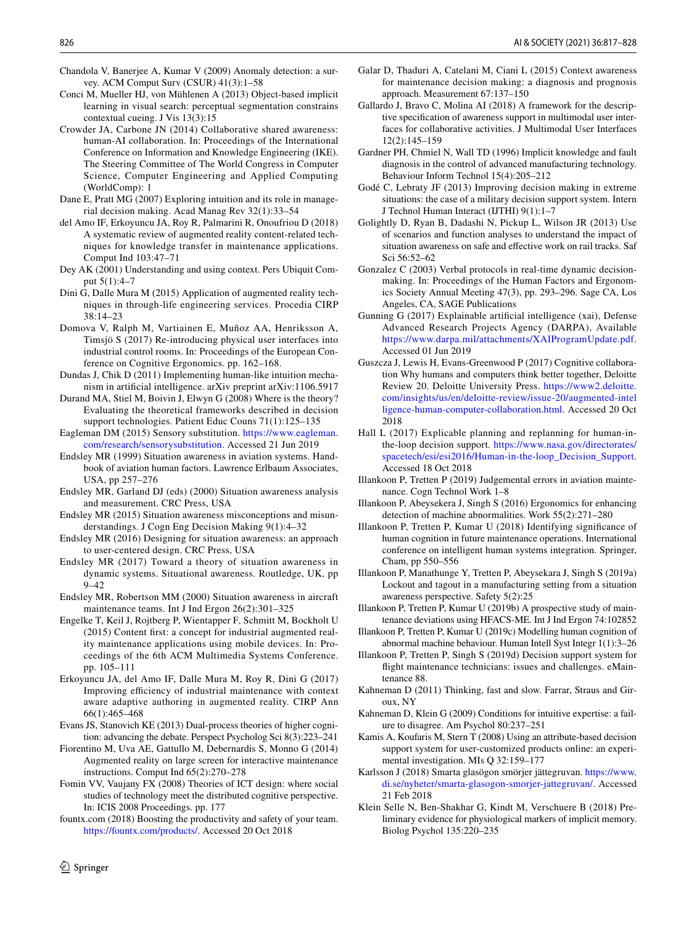- <span id="page-9-11"></span>Chandola V, Banerjee A, Kumar V (2009) Anomaly detection: a survey. ACM Comput Surv (CSUR) 41(3):1–58
- <span id="page-9-27"></span>Conci M, Mueller HJ, von Mühlenen A (2013) Object-based implicit learning in visual search: perceptual segmentation constrains contextual cueing. J Vis 13(3):15
- <span id="page-9-9"></span>Crowder JA, Carbone JN (2014) Collaborative shared awareness: human-AI collaboration. In: Proceedings of the International Conference on Information and Knowledge Engineering (IKE). The Steering Committee of The World Congress in Computer Science, Computer Engineering and Applied Computing (WorldComp): 1
- <span id="page-9-24"></span>Dane E, Pratt MG (2007) Exploring intuition and its role in managerial decision making. Acad Manag Rev 32(1):33–54
- <span id="page-9-23"></span>del Amo IF, Erkoyuncu JA, Roy R, Palmarini R, Onoufriou D (2018) A systematic review of augmented reality content-related techniques for knowledge transfer in maintenance applications. Comput Ind 103:47–71
- <span id="page-9-17"></span>Dey AK (2001) Understanding and using context. Pers Ubiquit Comput 5(1):4–7
- <span id="page-9-32"></span>Dini G, Dalle Mura M (2015) Application of augmented reality techniques in through-life engineering services. Procedia CIRP 38:14–23
- <span id="page-9-34"></span>Domova V, Ralph M, Vartiainen E, Muñoz AA, Henriksson A, Timsjö S (2017) Re-introducing physical user interfaces into industrial control rooms. In: Proceedings of the European Conference on Cognitive Ergonomics. pp. 162–168.
- <span id="page-9-36"></span>Dundas J, Chik D (2011) Implementing human-like intuition mechanism in artifcial intelligence. arXiv preprint arXiv:1106.5917
- <span id="page-9-4"></span>Durand MA, Stiel M, Boivin J, Elwyn G (2008) Where is the theory? Evaluating the theoretical frameworks described in decision support technologies. Patient Educ Couns 71(1):125–135
- <span id="page-9-35"></span>Eagleman DM (2015) Sensory substitution. [https://www.eagleman.](https://www.eagleman.com/research/sensorysubstitution) [com/research/sensorysubstitution.](https://www.eagleman.com/research/sensorysubstitution) Accessed 21 Jun 2019
- <span id="page-9-30"></span>Endsley MR (1999) Situation awareness in aviation systems. Handbook of aviation human factors. Lawrence Erlbaum Associates, USA, pp 257–276
- <span id="page-9-0"></span>Endsley MR, Garland DJ (eds) (2000) Situation awareness analysis and measurement. CRC Press, USA
- <span id="page-9-15"></span>Endsley MR (2015) Situation awareness misconceptions and misunderstandings. J Cogn Eng Decision Making 9(1):4–32
- <span id="page-9-19"></span>Endsley MR (2016) Designing for situation awareness: an approach to user-centered design. CRC Press, USA
- <span id="page-9-1"></span>Endsley MR (2017) Toward a theory of situation awareness in dynamic systems. Situational awareness. Routledge, UK, pp 9–42
- <span id="page-9-2"></span>Endsley MR, Robertson MM (2000) Situation awareness in aircraft maintenance teams. Int J Ind Ergon 26(2):301–325
- <span id="page-9-12"></span>Engelke T, Keil J, Rojtberg P, Wientapper F, Schmitt M, Bockholt U (2015) Content frst: a concept for industrial augmented reality maintenance applications using mobile devices. In: Proceedings of the 6th ACM Multimedia Systems Conference. pp. 105–111
- <span id="page-9-13"></span>Erkoyuncu JA, del Amo IF, Dalle Mura M, Roy R, Dini G (2017) Improving efficiency of industrial maintenance with context aware adaptive authoring in augmented reality. CIRP Ann 66(1):465–468
- <span id="page-9-29"></span>Evans JS, Stanovich KE (2013) Dual-process theories of higher cognition: advancing the debate. Perspect Psycholog Sci 8(3):223–241
- <span id="page-9-31"></span>Fiorentino M, Uva AE, Gattullo M, Debernardis S, Monno G (2014) Augmented reality on large screen for interactive maintenance instructions. Comput Ind 65(2):270–278
- <span id="page-9-14"></span>Fomin VV, Vaujany FX (2008) Theories of ICT design: where social studies of technology meet the distributed cognitive perspective. In: ICIS 2008 Proceedings. pp. 177
- <span id="page-9-33"></span>fountx.com (2018) Boosting the productivity and safety of your team. [https://fountx.com/products/.](https://fountx.com/products/) Accessed 20 Oct 2018
- $\circled{2}$  Springer
- <span id="page-9-10"></span>Galar D, Thaduri A, Catelani M, Ciani L (2015) Context awareness for maintenance decision making: a diagnosis and prognosis approach. Measurement 67:137–150
- <span id="page-9-38"></span>Gallardo J, Bravo C, Molina AI (2018) A framework for the descriptive specifcation of awareness support in multimodal user interfaces for collaborative activities. J Multimodal User Interfaces 12(2):145–159
- <span id="page-9-28"></span>Gardner PH, Chmiel N, Wall TD (1996) Implicit knowledge and fault diagnosis in the control of advanced manufacturing technology. Behaviour Inform Technol 15(4):205–212
- <span id="page-9-6"></span>Godé C, Lebraty JF (2013) Improving decision making in extreme situations: the case of a military decision support system. Intern J Technol Human Interact (IJTHI) 9(1):1–7
- <span id="page-9-3"></span>Golightly D, Ryan B, Dadashi N, Pickup L, Wilson JR (2013) Use of scenarios and function analyses to understand the impact of situation awareness on safe and efective work on rail tracks. Saf Sci 56:52–62
- <span id="page-9-42"></span>Gonzalez C (2003) Verbal protocols in real-time dynamic decisionmaking. In: Proceedings of the Human Factors and Ergonomics Society Annual Meeting 47(3), pp. 293–296. Sage CA, Los Angeles, CA, SAGE Publications
- <span id="page-9-8"></span>Gunning G (2017) Explainable artifcial intelligence (xai), Defense Advanced Research Projects Agency (DARPA), Available <https://www.darpa.mil/attachments/XAIProgramUpdate.pdf>. Accessed 01 Jun 2019
- <span id="page-9-37"></span>Guszcza J, Lewis H, Evans-Greenwood P (2017) Cognitive collaboration Why humans and computers think better together, Deloitte Review 20. Deloitte University Press. [https://www2.deloitte.](https://www2.deloitte.com/insights/us/en/deloitte-review/issue-20/augmented-intelligence-human-computer-collaboration.html) [com/insights/us/en/deloitte-review/issue-20/augmented-intel](https://www2.deloitte.com/insights/us/en/deloitte-review/issue-20/augmented-intelligence-human-computer-collaboration.html) [ligence-human-computer-collaboration.html.](https://www2.deloitte.com/insights/us/en/deloitte-review/issue-20/augmented-intelligence-human-computer-collaboration.html) Accessed 20 Oct 2018
- <span id="page-9-7"></span>Hall L (2017) Explicable planning and replanning for human-inthe-loop decision support. [https://www.nasa.gov/directorates/](https://www.nasa.gov/directorates/spacetech/esi/esi2016/Human-in-the-loop_Decision_Support) [spacetech/esi/esi2016/Human-in-the-loop\\_Decision\\_Support](https://www.nasa.gov/directorates/spacetech/esi/esi2016/Human-in-the-loop_Decision_Support). Accessed 18 Oct 2018
- <span id="page-9-22"></span>Illankoon P, Tretten P (2019) Judgemental errors in aviation maintenance. Cogn Technol Work 1–8
- <span id="page-9-26"></span>Illankoon P, Abeysekera J, Singh S (2016) Ergonomics for enhancing detection of machine abnormalities. Work 55(2):271–280
- <span id="page-9-25"></span>Illankoon P, Tretten P, Kumar U (2018) Identifying signifcance of human cognition in future maintenance operations. International conference on intelligent human systems integration. Springer, Cham, pp 550–556
- <span id="page-9-16"></span>Illankoon P, Manathunge Y, Tretten P, Abeysekara J, Singh S (2019a) Lockout and tagout in a manufacturing setting from a situation awareness perspective. Safety 5(2):25
- <span id="page-9-20"></span>Illankoon P, Tretten P, Kumar U (2019b) A prospective study of maintenance deviations using HFACS-ME. Int J Ind Ergon 74:102852
- <span id="page-9-18"></span>Illankoon P, Tretten P, Kumar U (2019c) Modelling human cognition of abnormal machine behaviour. Human Intell Syst Integr 1(1):3–26
- <span id="page-9-21"></span>Illankoon P, Tretten P, Singh S (2019d) Decision support system for fight maintenance technicians: issues and challenges. eMaintenance 88.
- <span id="page-9-39"></span>Kahneman D (2011) Thinking, fast and slow. Farrar, Straus and Giroux, NY
- <span id="page-9-40"></span>Kahneman D, Klein G (2009) Conditions for intuitive expertise: a failure to disagree. Am Psychol 80:237–251
- <span id="page-9-5"></span>Kamis A, Koufaris M, Stern T (2008) Using an attribute-based decision support system for user-customized products online: an experimental investigation. MIs Q 32:159–177
- <span id="page-9-41"></span>Karlsson J (2018) Smarta glasögon smörjer jättegruvan. [https://www.](https://www.di.se/nyheter/smarta-glasogon-smorjer-jattegruvan/) [di.se/nyheter/smarta-glasogon-smorjer-jattegruvan/.](https://www.di.se/nyheter/smarta-glasogon-smorjer-jattegruvan/) Accessed 21 Feb 2018
- <span id="page-9-43"></span>Klein Selle N, Ben-Shakhar G, Kindt M, Verschuere B (2018) Preliminary evidence for physiological markers of implicit memory. Biolog Psychol 135:220–235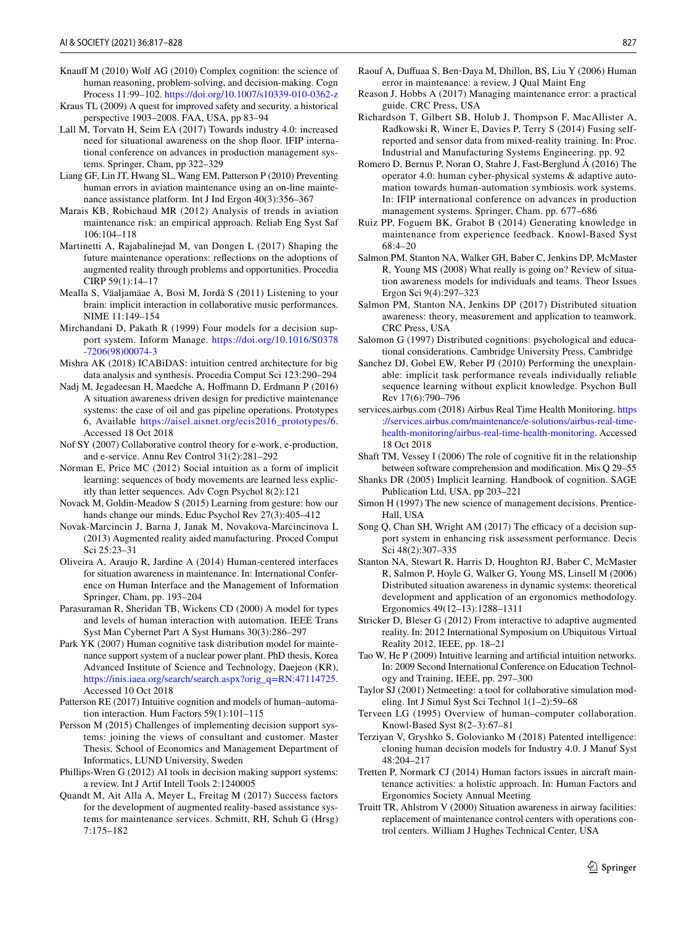- <span id="page-10-19"></span>Knauff M (2010) Wolf AG (2010) Complex cognition: the science of human reasoning, problem-solving, and decision-making. Cogn Process 11:99–102. <https://doi.org/10.1007/s10339-010-0362-z>
- <span id="page-10-0"></span>Kraus TL (2009) A quest for improved safety and security. a historical perspective 1903–2008. FAA, USA, pp 83–94
- <span id="page-10-4"></span>Lall M, Torvatn H, Seim EA (2017) Towards industry 4.0: increased need for situational awareness on the shop floor. IFIP international conference on advances in production management systems. Springer, Cham, pp 322–329
- <span id="page-10-3"></span>Liang GF, Lin JT, Hwang SL, Wang EM, Patterson P (2010) Preventing human errors in aviation maintenance using an on-line maintenance assistance platform. Int J Ind Ergon 40(3):356–367
- <span id="page-10-1"></span>Marais KB, Robichaud MR (2012) Analysis of trends in aviation maintenance risk: an empirical approach. Reliab Eng Syst Saf 106:104–118
- <span id="page-10-37"></span>Martinetti A, Rajabalinejad M, van Dongen L (2017) Shaping the future maintenance operations: refections on the adoptions of augmented reality through problems and opportunities. Procedia CIRP 59(1):14–17
- <span id="page-10-42"></span>Mealla S, Väaljamäae A, Bosi M, Jordà S (2011) Listening to your brain: implicit interaction in collaborative music performances. NIME 11:149–154
- <span id="page-10-9"></span>Mirchandani D, Pakath R (1999) Four models for a decision support system. Inform Manage. [https://doi.org/10.1016/S0378](https://doi.org/10.1016/S0378-7206(98)00074-3) [-7206\(98\)00074-3](https://doi.org/10.1016/S0378-7206(98)00074-3)
- <span id="page-10-10"></span>Mishra AK (2018) ICABiDAS: intuition centred architecture for big data analysis and synthesis. Procedia Comput Sci 123:290–294
- <span id="page-10-21"></span>Nadj M, Jegadeesan H, Maedche A, Hofmann D, Erdmann P (2016) A situation awareness driven design for predictive maintenance systems: the case of oil and gas pipeline operations. Prototypes 6, Available [https://aisel.aisnet.org/ecis2016\\_prototypes/6](https://aisel.aisnet.org/ecis2016_prototypes/6). Accessed 18 Oct 2018
- <span id="page-10-18"></span>Nof SY (2007) Collaborative control theory for e-work, e-production, and e-service. Annu Rev Control 31(2):281–292
- <span id="page-10-27"></span>Norman E, Price MC (2012) Social intuition as a form of implicit learning: sequences of body movements are learned less explicitly than letter sequences. Adv Cogn Psychol 8(2):121
- <span id="page-10-40"></span>Novack M, Goldin-Meadow S (2015) Learning from gesture: how our hands change our minds. Educ Psychol Rev 27(3):405–412
- <span id="page-10-31"></span>Novak-Marcincin J, Barna J, Janak M, Novakova-Marcincinova L (2013) Augmented reality aided manufacturing. Proced Comput Sci 25:23–31
- <span id="page-10-6"></span>Oliveira A, Araujo R, Jardine A (2014) Human-centered interfaces for situation awareness in maintenance. In: International Conference on Human Interface and the Management of Information Springer, Cham, pp. 193–204
- <span id="page-10-25"></span>Parasuraman R, Sheridan TB, Wickens CD (2000) A model for types and levels of human interaction with automation. IEEE Trans Syst Man Cybernet Part A Syst Humans 30(3):286–297
- <span id="page-10-14"></span>Park YK (2007) Human cognitive task distribution model for maintenance support system of a nuclear power plant. PhD thesis, Korea Advanced Institute of Science and Technology, Daejeon (KR), [https://inis.iaea.org/search/search.aspx?orig\\_q=RN:47114725.](https://inis.iaea.org/search/search.aspx?orig_q=RN:47114725) Accessed 10 Oct 2018
- <span id="page-10-30"></span>Patterson RE (2017) Intuitive cognition and models of human–automation interaction. Hum Factors 59(1):101–115
- <span id="page-10-11"></span>Persson M (2015) Challenges of implementing decision support systems: joining the views of consultant and customer. Master Thesis, School of Economics and Management Department of Informatics, LUND University, Sweden
- <span id="page-10-8"></span>Phillips-Wren G (2012) AI tools in decision making support systems: a review. Int J Artif Intell Tools 2:1240005
- <span id="page-10-38"></span>Quandt M, Ait Alla A, Meyer L, Freitag M (2017) Success factors for the development of augmented reality-based assistance systems for maintenance services. Schmitt, RH, Schuh G (Hrsg) 7:175–182
- <span id="page-10-2"></span>Raouf A, Dufuaa S, Ben‐Daya M, Dhillon, BS, Liu Y (2006) Human error in maintenance: a review. J Qual Maint Eng
- <span id="page-10-35"></span>Reason J, Hobbs A (2017) Managing maintenance error: a practical guide. CRC Press, USA
- <span id="page-10-41"></span>Richardson T, Gilbert SB, Holub J, Thompson F, MacAllister A, Radkowski R, Winer E, Davies P, Terry S (2014) Fusing selfreported and sensor data from mixed-reality training. In: Proc. Industrial and Manufacturing Systems Engineering. pp. 92
- <span id="page-10-33"></span>Romero D, Bernus P, Noran O, Stahre J, Fast-Berglund Å (2016) The operator 4.0: human cyber-physical systems & adaptive automation towards human-automation symbiosis work systems. In: IFIP international conference on advances in production management systems. Springer, Cham. pp. 677–686
- <span id="page-10-29"></span>Ruiz PP, Foguem BK, Grabot B (2014) Generating knowledge in maintenance from experience feedback. Knowl-Based Syst 68:4–20
- <span id="page-10-23"></span>Salmon PM, Stanton NA, Walker GH, Baber C, Jenkins DP, McMaster R, Young MS (2008) What really is going on? Review of situation awareness models for individuals and teams. Theor Issues Ergon Sci 9(4):297–323
- <span id="page-10-22"></span>Salmon PM, Stanton NA, Jenkins DP (2017) Distributed situation awareness: theory, measurement and application to teamwork. CRC Press, USA
- <span id="page-10-15"></span>Salomon G (1997) Distributed cognitions: psychological and educational considerations. Cambridge University Press, Cambridge
- <span id="page-10-28"></span>Sanchez DJ, Gobel EW, Reber PJ (2010) Performing the unexplainable: implicit task performance reveals individually reliable sequence learning without explicit knowledge. Psychon Bull Rev 17(6):790–796
- <span id="page-10-32"></span>services.airbus.com (2018) Airbus Real Time Health Monitoring. [https](https://services.airbus.com/maintenance/e-solutions/airbus-real-time-health-monitoring/airbus-real-time-health-monitoring) [://services.airbus.com/maintenance/e-solutions/airbus-real-time](https://services.airbus.com/maintenance/e-solutions/airbus-real-time-health-monitoring/airbus-real-time-health-monitoring)[health-monitoring/airbus-real-time-health-monitoring](https://services.airbus.com/maintenance/e-solutions/airbus-real-time-health-monitoring/airbus-real-time-health-monitoring). Accessed 18 Oct 2018
- <span id="page-10-12"></span>Shaft TM, Vessey I (2006) The role of cognitive ft in the relationship between software comprehension and modifcation. Mis Q 29–55
- <span id="page-10-26"></span>Shanks DR (2005) Implicit learning. Handbook of cognition. SAGE Publication Ltd, USA, pp 203–221
- <span id="page-10-7"></span>Simon H (1997) The new science of management decisions. Prentice-Hall, USA
- <span id="page-10-13"></span>Song Q, Chan SH, Wright AM (2017) The efficacy of a decision support system in enhancing risk assessment performance. Decis Sci 48(2):307–335
- <span id="page-10-24"></span>Stanton NA, Stewart R, Harris D, Houghton RJ, Baber C, McMaster R, Salmon P, Hoyle G, Walker G, Young MS, Linsell M (2006) Distributed situation awareness in dynamic systems: theoretical development and application of an ergonomics methodology. Ergonomics 49(12–13):1288–1311
- <span id="page-10-39"></span>Stricker D, Bleser G (2012) From interactive to adaptive augmented reality. In: 2012 International Symposium on Ubiquitous Virtual Reality 2012, IEEE, pp. 18–21
- <span id="page-10-34"></span>Tao W, He P (2009) Intuitive learning and artifcial intuition networks. In: 2009 Second International Conference on Education Technology and Training, IEEE, pp. 297–300
- <span id="page-10-36"></span>Taylor SJ (2001) Netmeeting: a tool for collaborative simulation modeling. Int J Simul Syst Sci Technol 1(1–2):59–68
- <span id="page-10-16"></span>Terveen LG (1995) Overview of human–computer collaboration. Knowl-Based Syst 8(2–3):67–81
- <span id="page-10-17"></span>Terziyan V, Gryshko S, Golovianko M (2018) Patented intelligence: cloning human decision models for Industry 4.0. J Manuf Syst 48:204–217
- <span id="page-10-5"></span>Tretten P, Normark CJ (2014) Human factors issues in aircraft maintenance activities: a holistic approach. In: Human Factors and Ergonomics Society Annual Meeting
- <span id="page-10-20"></span>Truitt TR, Ahlstrom V (2000) Situation awareness in airway facilities: replacement of maintenance control centers with operations control centers. William J Hughes Technical Center, USA